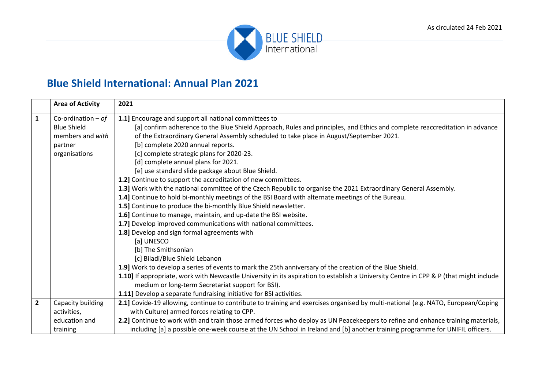

## **Blue Shield International: Annual Plan 2021**

|                | <b>Area of Activity</b> | 2021                                                                                                                                   |
|----------------|-------------------------|----------------------------------------------------------------------------------------------------------------------------------------|
| $\mathbf{1}$   | Co-ordination $-$ of    | 1.1] Encourage and support all national committees to                                                                                  |
|                | <b>Blue Shield</b>      | [a] confirm adherence to the Blue Shield Approach, Rules and principles, and Ethics and complete reaccreditation in advance            |
|                | members and with        | of the Extraordinary General Assembly scheduled to take place in August/September 2021.                                                |
|                | partner                 | [b] complete 2020 annual reports.                                                                                                      |
|                | organisations           | [c] complete strategic plans for 2020-23.                                                                                              |
|                |                         | [d] complete annual plans for 2021.                                                                                                    |
|                |                         | [e] use standard slide package about Blue Shield.                                                                                      |
|                |                         | 1.2] Continue to support the accreditation of new committees.                                                                          |
|                |                         | 1.3] Work with the national committee of the Czech Republic to organise the 2021 Extraordinary General Assembly.                       |
|                |                         | 1.4] Continue to hold bi-monthly meetings of the BSI Board with alternate meetings of the Bureau.                                      |
|                |                         | 1.5] Continue to produce the bi-monthly Blue Shield newsletter.                                                                        |
|                |                         | 1.6] Continue to manage, maintain, and up-date the BSI website.                                                                        |
|                |                         | 1.7] Develop improved communications with national committees.                                                                         |
|                |                         | 1.8] Develop and sign formal agreements with                                                                                           |
|                |                         | [a] UNESCO                                                                                                                             |
|                |                         | [b] The Smithsonian                                                                                                                    |
|                |                         | [c] Biladi/Blue Shield Lebanon                                                                                                         |
|                |                         | 1.9] Work to develop a series of events to mark the 25th anniversary of the creation of the Blue Shield.                               |
|                |                         | 1.10] If appropriate, work with Newcastle University in its aspiration to establish a University Centre in CPP & P (that might include |
|                |                         | medium or long-term Secretariat support for BSI).                                                                                      |
|                |                         | 1.11] Develop a separate fundraising initiative for BSI activities.                                                                    |
| $\overline{2}$ | Capacity building       | 2.1] Covide-19 allowing, continue to contribute to training and exercises organised by multi-national (e.g. NATO, European/Coping      |
|                | activities,             | with Culture) armed forces relating to CPP.                                                                                            |
|                | education and           | 2.2] Continue to work with and train those armed forces who deploy as UN Peacekeepers to refine and enhance training materials,        |
|                | training                | including [a] a possible one-week course at the UN School in Ireland and [b] another training programme for UNIFIL officers.           |